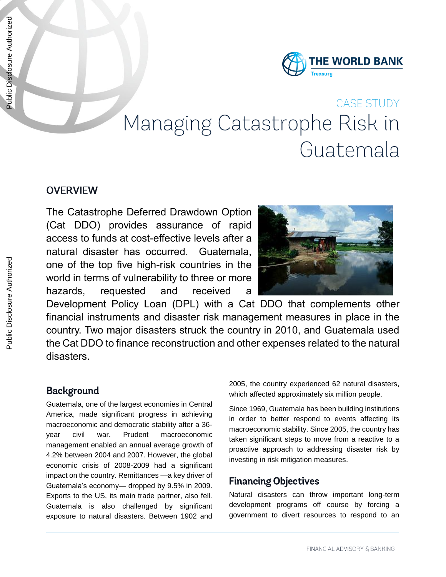

# CASE STUDY Managing Catastrophe Risk in Guatemala

#### **OVERVIEW**

The Catastrophe Deferred Drawdown Option (Cat DDO) provides assurance of rapid access to funds at cost-effective levels after a natural disaster has occurred. Guatemala, one of the top five high-risk countries in the world in terms of vulnerability to three or more hazards, requested and received a



Development Policy Loan (DPL) with a Cat DDO that complements other financial instruments and disaster risk management measures in place in the country. Two major disasters struck the country in 2010, and Guatemala used the Cat DDO to finance reconstruction and other expenses related to the natural disasters.

#### **Background**

Guatemala, one of the largest economies in Central America, made significant progress in achieving macroeconomic and democratic stability after a 36 year civil war. Prudent macroeconomic management enabled an annual average growth of 4.2% between 2004 and 2007. However, the global economic crisis of 2008-2009 had a significant impact on the country. Remittances —a key driver of Guatemala's economy— dropped by 9.5% in 2009. Exports to the US, its main trade partner, also fell. Guatemala is also challenged by significant exposure to natural disasters. Between 1902 and

2005, the country experienced 62 natural disasters, which affected approximately six million people.

Since 1969, Guatemala has been building institutions in order to better respond to events affecting its macroeconomic stability. Since 2005, the country has taken significant steps to move from a reactive to a proactive approach to addressing disaster risk by investing in risk mitigation measures.

#### **Financing Objectives**

Natural disasters can throw important long-term development programs off course by forcing a government to divert resources to respond to an

Public Disclosure Authorized

Public Disclosure Authorized